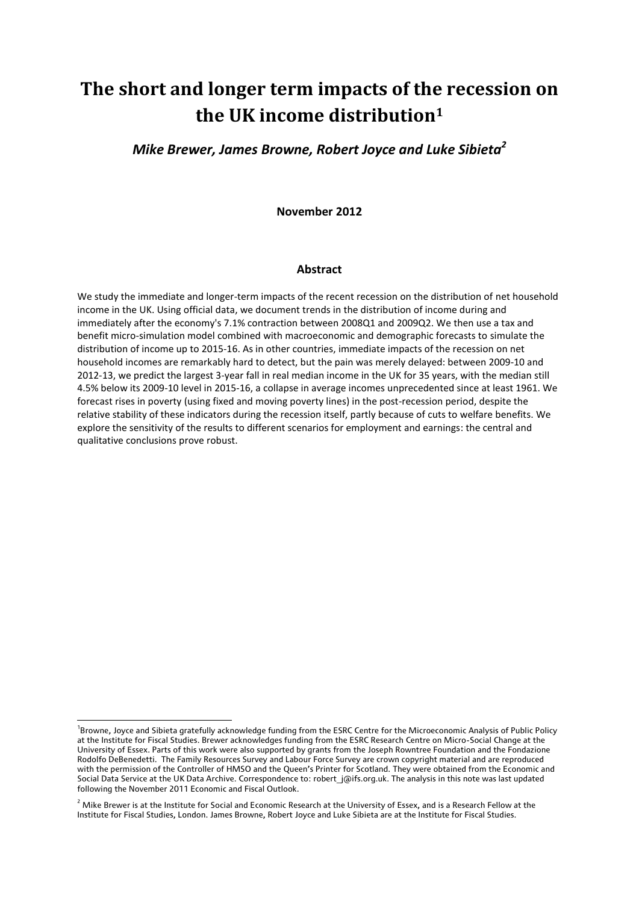# **The short and longer term impacts of the recession on the UK income distribution<sup>1</sup>**

## *Mike Brewer, James Browne, Robert Joyce and Luke Sibieta<sup>2</sup>*

**November 2012**

#### **Abstract**

We study the immediate and longer-term impacts of the recent recession on the distribution of net household income in the UK. Using official data, we document trends in the distribution of income during and immediately after the economy's 7.1% contraction between 2008Q1 and 2009Q2. We then use a tax and benefit micro-simulation model combined with macroeconomic and demographic forecasts to simulate the distribution of income up to 2015-16. As in other countries, immediate impacts of the recession on net household incomes are remarkably hard to detect, but the pain was merely delayed: between 2009-10 and 2012-13, we predict the largest 3-year fall in real median income in the UK for 35 years, with the median still 4.5% below its 2009-10 level in 2015-16, a collapse in average incomes unprecedented since at least 1961. We forecast rises in poverty (using fixed and moving poverty lines) in the post-recession period, despite the relative stability of these indicators during the recession itself, partly because of cuts to welfare benefits. We explore the sensitivity of the results to different scenarios for employment and earnings: the central and qualitative conclusions prove robust.

<sup>&</sup>lt;sup>1</sup>Browne, Joyce and Sibieta gratefully acknowledge funding from the ESRC Centre for the Microeconomic Analysis of Public Policy at the Institute for Fiscal Studies. Brewer acknowledges funding from the ESRC Research Centre on Micro-Social Change at the University of Essex. Parts of this work were also supported by grants from the Joseph Rowntree Foundation and the Fondazione Rodolfo DeBenedetti. The Family Resources Survey and Labour Force Survey are crown copyright material and are reproduced with the permission of the Controller of HMSO and the Queen's Printer for Scotland. They were obtained from the Economic and Social Data Service at the UK Data Archive. Correspondence to: robert\_j@ifs.org.uk. The analysis in this note was last updated following the November 2011 Economic and Fiscal Outlook.

<sup>&</sup>lt;sup>2</sup> Mike Brewer is at the Institute for Social and Economic Research at the University of Essex, and is a Research Fellow at the Institute for Fiscal Studies, London. James Browne, Robert Joyce and Luke Sibieta are at the Institute for Fiscal Studies.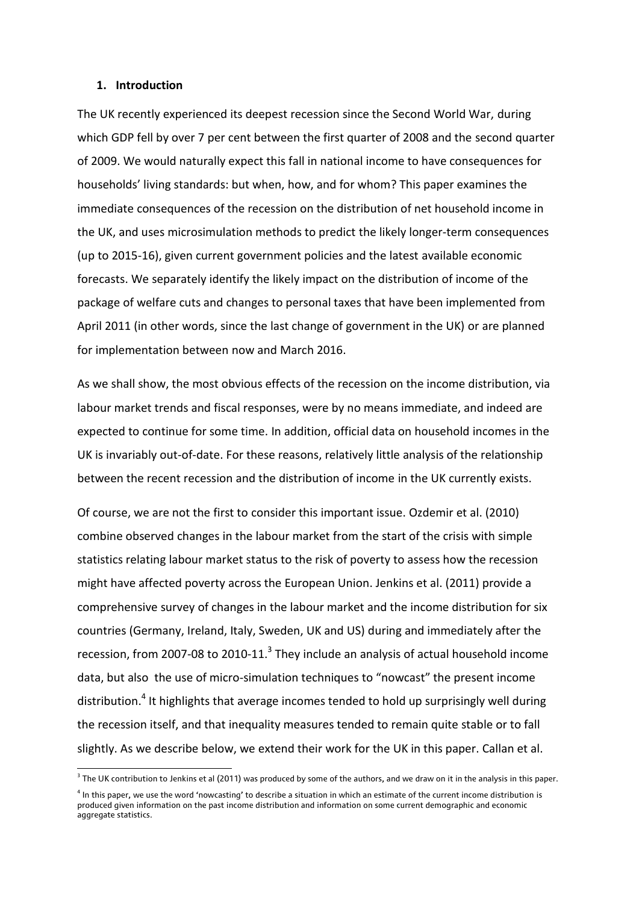#### **1. Introduction**

**.** 

The UK recently experienced its deepest recession since the Second World War, during which GDP fell by over 7 per cent between the first quarter of 2008 and the second quarter of 2009. We would naturally expect this fall in national income to have consequences for households' living standards: but when, how, and for whom? This paper examines the immediate consequences of the recession on the distribution of net household income in the UK, and uses microsimulation methods to predict the likely longer-term consequences (up to 2015-16), given current government policies and the latest available economic forecasts. We separately identify the likely impact on the distribution of income of the package of welfare cuts and changes to personal taxes that have been implemented from April 2011 (in other words, since the last change of government in the UK) or are planned for implementation between now and March 2016.

As we shall show, the most obvious effects of the recession on the income distribution, via labour market trends and fiscal responses, were by no means immediate, and indeed are expected to continue for some time. In addition, official data on household incomes in the UK is invariably out-of-date. For these reasons, relatively little analysis of the relationship between the recent recession and the distribution of income in the UK currently exists.

Of course, we are not the first to consider this important issue. Ozdemir et al. (2010) combine observed changes in the labour market from the start of the crisis with simple statistics relating labour market status to the risk of poverty to assess how the recession might have affected poverty across the European Union. Jenkins et al. (2011) provide a comprehensive survey of changes in the labour market and the income distribution for six countries (Germany, Ireland, Italy, Sweden, UK and US) during and immediately after the recession, from 2007-08 to 2010-11. $3$  They include an analysis of actual household income data, but also the use of micro-simulation techniques to "nowcast" the present income distribution.<sup>4</sup> It highlights that average incomes tended to hold up surprisingly well during the recession itself, and that inequality measures tended to remain quite stable or to fall slightly. As we describe below, we extend their work for the UK in this paper. Callan et al.

 $3$  The UK contribution to Jenkins et al (2011) was produced by some of the authors, and we draw on it in the analysis in this paper.

<sup>&</sup>lt;sup>4</sup> In this paper, we use the word 'nowcasting' to describe a situation in which an estimate of the current income distribution is produced given information on the past income distribution and information on some current demographic and economic aggregate statistics.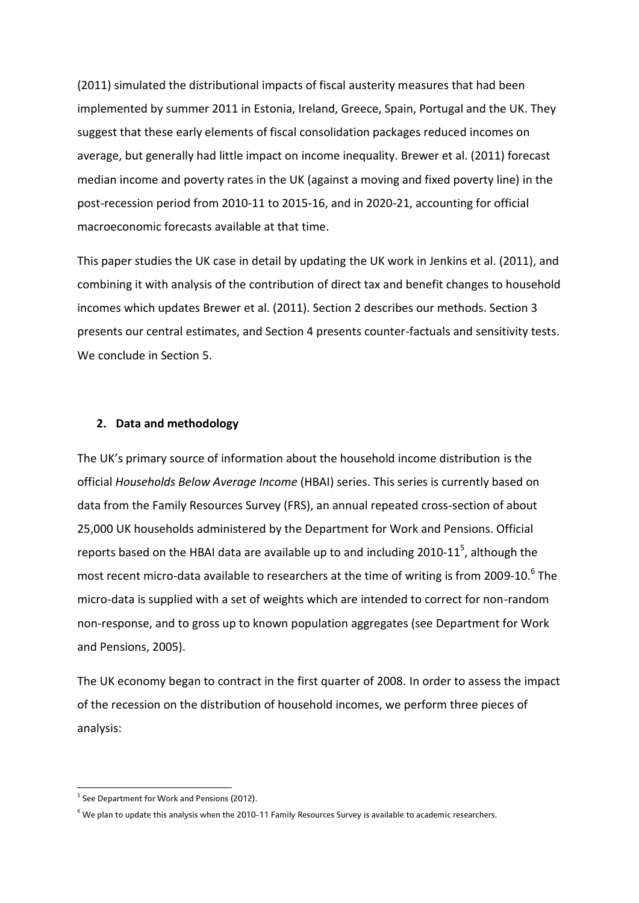(2011) simulated the distributional impacts of fiscal austerity measures that had been implemented by summer 2011 in Estonia, Ireland, Greece, Spain, Portugal and the UK. They suggest that these early elements of fiscal consolidation packages reduced incomes on average, but generally had little impact on income inequality. Brewer et al. (2011) forecast median income and poverty rates in the UK (against a moving and fixed poverty line) in the post-recession period from 2010-11 to 2015-16, and in 2020-21, accounting for official macroeconomic forecasts available at that time.

This paper studies the UK case in detail by updating the UK work in Jenkins et al. (2011), and combining it with analysis of the contribution of direct tax and benefit changes to household incomes which updates Brewer et al. (2011). Section 2 describes our methods. Section 3 presents our central estimates, and Section 4 presents counter-factuals and sensitivity tests. We conclude in Section 5.

#### **2. Data and methodology**

The UK's primary source of information about the household income distribution is the official *Households Below Average Income* (HBAI) series. This series is currently based on data from the Family Resources Survey (FRS), an annual repeated cross-section of about 25,000 UK households administered by the Department for Work and Pensions. Official reports based on the HBAI data are available up to and including 2010-11<sup>5</sup>, although the most recent micro-data available to researchers at the time of writing is from 2009-10.<sup>6</sup> The micro-data is supplied with a set of weights which are intended to correct for non-random non-response, and to gross up to known population aggregates (see Department for Work and Pensions, 2005).

The UK economy began to contract in the first quarter of 2008. In order to assess the impact of the recession on the distribution of household incomes, we perform three pieces of analysis:

 5 See Department for Work and Pensions (2012).

 $6$  We plan to update this analysis when the 2010-11 Family Resources Survey is available to academic researchers.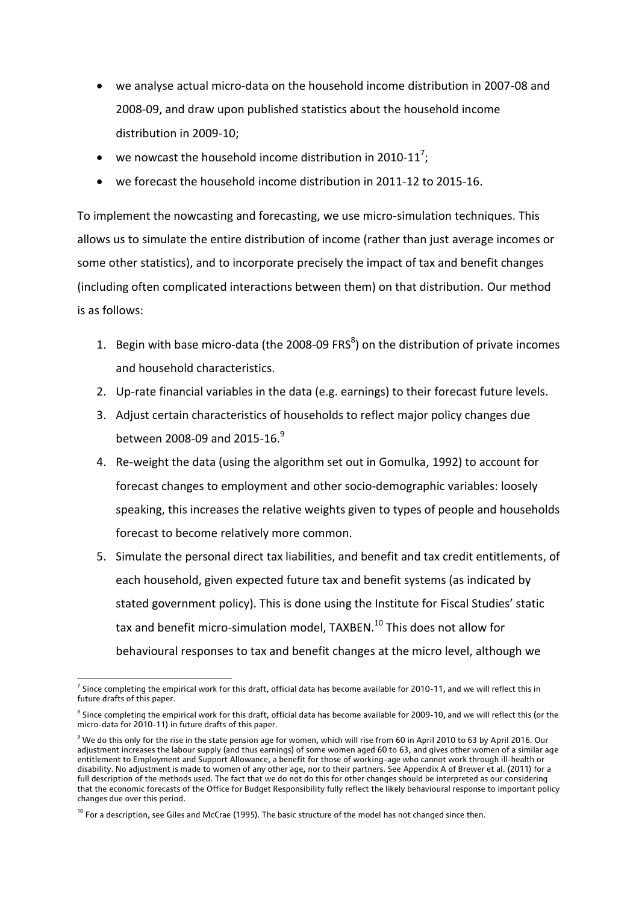- we analyse actual micro-data on the household income distribution in 2007-08 and 2008-09, and draw upon published statistics about the household income distribution in 2009-10;
- we nowcast the household income distribution in 2010-11<sup>7</sup>;
- we forecast the household income distribution in 2011-12 to 2015-16.

To implement the nowcasting and forecasting, we use micro-simulation techniques. This allows us to simulate the entire distribution of income (rather than just average incomes or some other statistics), and to incorporate precisely the impact of tax and benefit changes (including often complicated interactions between them) on that distribution. Our method is as follows:

- 1. Begin with base micro-data (the 2008-09 FRS $^{8}$ ) on the distribution of private incomes and household characteristics.
- 2. Up-rate financial variables in the data (e.g. earnings) to their forecast future levels.
- 3. Adjust certain characteristics of households to reflect major policy changes due between 2008-09 and 2015-16.<sup>9</sup>
- 4. Re-weight the data (using the algorithm set out in Gomulka, 1992) to account for forecast changes to employment and other socio-demographic variables: loosely speaking, this increases the relative weights given to types of people and households forecast to become relatively more common.
- 5. Simulate the personal direct tax liabilities, and benefit and tax credit entitlements, of each household, given expected future tax and benefit systems (as indicated by stated government policy). This is done using the Institute for Fiscal Studies' static tax and benefit micro-simulation model, TAXBEN.<sup>10</sup> This does not allow for behavioural responses to tax and benefit changes at the micro level, although we

 7 Since completing the empirical work for this draft, official data has become available for 2010-11, and we will reflect this in future drafts of this paper.

 $^8$  Since completing the empirical work for this draft, official data has become available for 2009-10, and we will reflect this (or the micro-data for 2010-11) in future drafts of this paper.

 $9$  We do this only for the rise in the state pension age for women, which will rise from 60 in April 2010 to 63 by April 2016. Our adjustment increases the labour supply (and thus earnings) of some women aged 60 to 63, and gives other women of a similar age entitlement to Employment and Support Allowance, a benefit for those of working-age who cannot work through ill-health or disability. No adjustment is made to women of any other age, nor to their partners. See Appendix A of Brewer et al. (2011) for a full description of the methods used. The fact that we do not do this for other changes should be interpreted as our considering that the economic forecasts of the Office for Budget Responsibility fully reflect the likely behavioural response to important policy changes due over this period.

 $10$  For a description, see Giles and McCrae (1995). The basic structure of the model has not changed since then.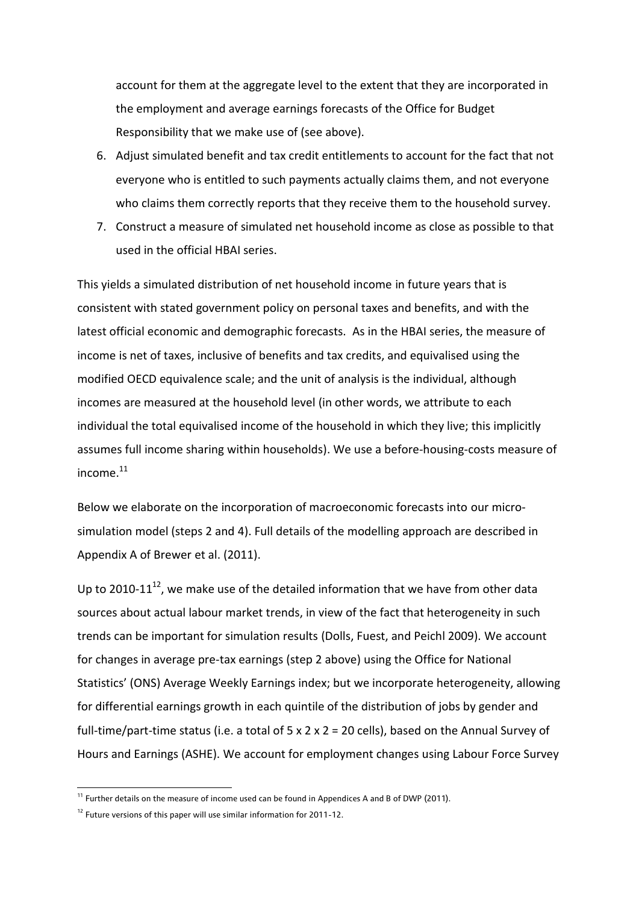account for them at the aggregate level to the extent that they are incorporated in the employment and average earnings forecasts of the Office for Budget Responsibility that we make use of (see above).

- 6. Adjust simulated benefit and tax credit entitlements to account for the fact that not everyone who is entitled to such payments actually claims them, and not everyone who claims them correctly reports that they receive them to the household survey.
- 7. Construct a measure of simulated net household income as close as possible to that used in the official HBAI series.

This yields a simulated distribution of net household income in future years that is consistent with stated government policy on personal taxes and benefits, and with the latest official economic and demographic forecasts. As in the HBAI series, the measure of income is net of taxes, inclusive of benefits and tax credits, and equivalised using the modified OECD equivalence scale; and the unit of analysis is the individual, although incomes are measured at the household level (in other words, we attribute to each individual the total equivalised income of the household in which they live; this implicitly assumes full income sharing within households). We use a before-housing-costs measure of income. $11$ 

Below we elaborate on the incorporation of macroeconomic forecasts into our microsimulation model (steps 2 and 4). Full details of the modelling approach are described in Appendix A of Brewer et al. (2011).

Up to 2010-11 $^{12}$ , we make use of the detailed information that we have from other data sources about actual labour market trends, in view of the fact that heterogeneity in such trends can be important for simulation results (Dolls, Fuest, and Peichl 2009). We account for changes in average pre-tax earnings (step 2 above) using the Office for National Statistics' (ONS) Average Weekly Earnings index; but we incorporate heterogeneity, allowing for differential earnings growth in each quintile of the distribution of jobs by gender and full-time/part-time status (i.e. a total of  $5 \times 2 \times 2 = 20$  cells), based on the Annual Survey of Hours and Earnings (ASHE). We account for employment changes using Labour Force Survey

1

 $11$  Further details on the measure of income used can be found in Appendices A and B of DWP (2011).

<sup>&</sup>lt;sup>12</sup> Future versions of this paper will use similar information for 2011-12.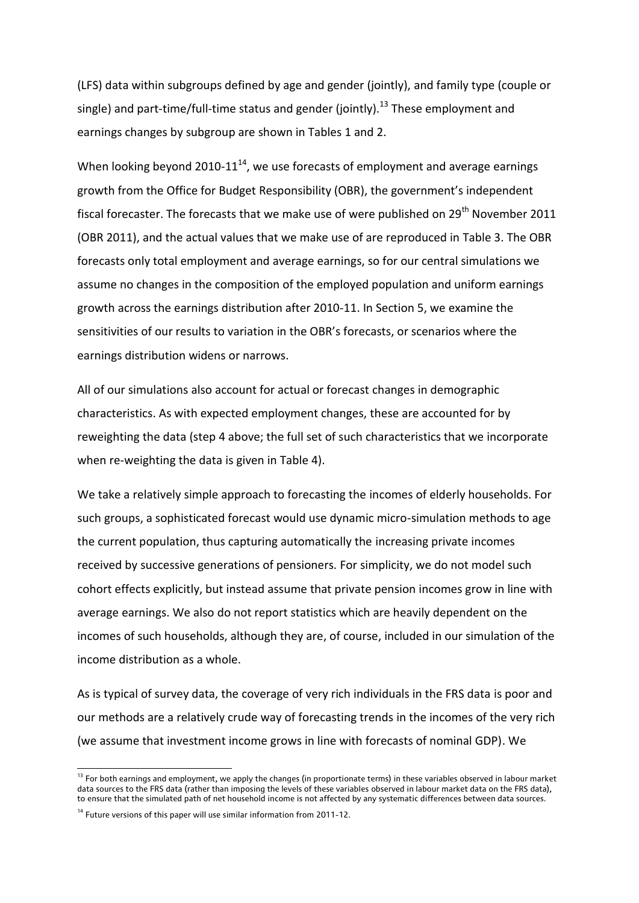(LFS) data within subgroups defined by age and gender (jointly), and family type (couple or single) and part-time/full-time status and gender (jointly).<sup>13</sup> These employment and earnings changes by subgroup are shown in Tables 1 and 2.

When looking beyond 2010-11 $^{14}$ , we use forecasts of employment and average earnings growth from the Office for Budget Responsibility (OBR), the government's independent fiscal forecaster. The forecasts that we make use of were published on  $29<sup>th</sup>$  November 2011 (OBR 2011), and the actual values that we make use of are reproduced in Table 3. The OBR forecasts only total employment and average earnings, so for our central simulations we assume no changes in the composition of the employed population and uniform earnings growth across the earnings distribution after 2010-11. In Section 5, we examine the sensitivities of our results to variation in the OBR's forecasts, or scenarios where the earnings distribution widens or narrows.

All of our simulations also account for actual or forecast changes in demographic characteristics. As with expected employment changes, these are accounted for by reweighting the data (step 4 above; the full set of such characteristics that we incorporate when re-weighting the data is given in Table 4).

We take a relatively simple approach to forecasting the incomes of elderly households. For such groups, a sophisticated forecast would use dynamic micro-simulation methods to age the current population, thus capturing automatically the increasing private incomes received by successive generations of pensioners. For simplicity, we do not model such cohort effects explicitly, but instead assume that private pension incomes grow in line with average earnings. We also do not report statistics which are heavily dependent on the incomes of such households, although they are, of course, included in our simulation of the income distribution as a whole.

As is typical of survey data, the coverage of very rich individuals in the FRS data is poor and our methods are a relatively crude way of forecasting trends in the incomes of the very rich (we assume that investment income grows in line with forecasts of nominal GDP). We

<sup>&</sup>lt;sup>13</sup> For both earnings and employment, we apply the changes (in proportionate terms) in these variables observed in labour market data sources to the FRS data (rather than imposing the levels of these variables observed in labour market data on the FRS data), to ensure that the simulated path of net household income is not affected by any systematic differences between data sources.

<sup>&</sup>lt;sup>14</sup> Future versions of this paper will use similar information from 2011-12.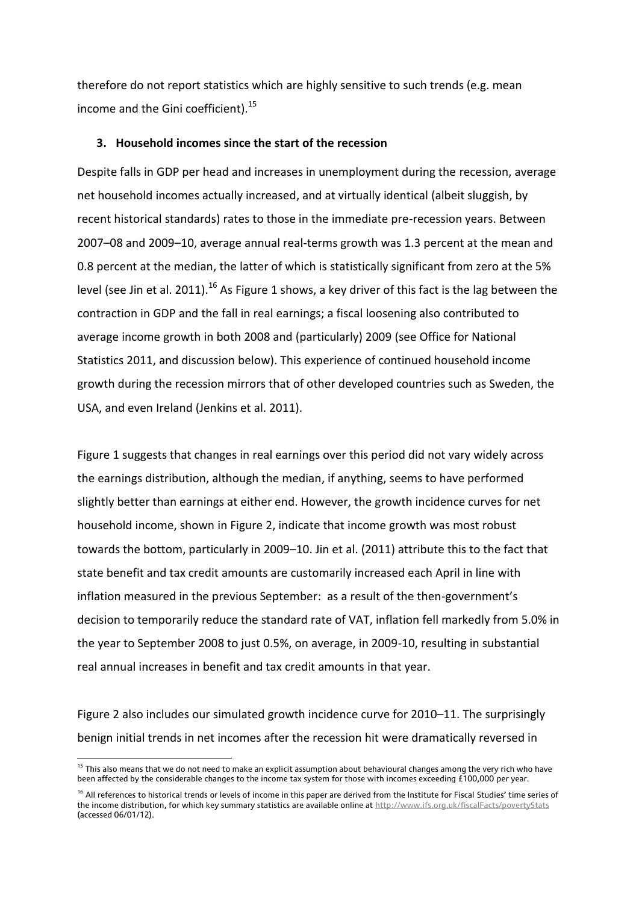therefore do not report statistics which are highly sensitive to such trends (e.g. mean income and the Gini coefficient).<sup>15</sup>

#### **3. Household incomes since the start of the recession**

Despite falls in GDP per head and increases in unemployment during the recession, average net household incomes actually increased, and at virtually identical (albeit sluggish, by recent historical standards) rates to those in the immediate pre-recession years. Between 2007–08 and 2009–10, average annual real-terms growth was 1.3 percent at the mean and 0.8 percent at the median, the latter of which is statistically significant from zero at the 5% level (see Jin et al. 2011).<sup>16</sup> As Figure 1 shows, a key driver of this fact is the lag between the contraction in GDP and the fall in real earnings; a fiscal loosening also contributed to average income growth in both 2008 and (particularly) 2009 (see Office for National Statistics 2011, and discussion below). This experience of continued household income growth during the recession mirrors that of other developed countries such as Sweden, the USA, and even Ireland (Jenkins et al. 2011).

Figure 1 suggests that changes in real earnings over this period did not vary widely across the earnings distribution, although the median, if anything, seems to have performed slightly better than earnings at either end. However, the growth incidence curves for net household income, shown in Figure 2, indicate that income growth was most robust towards the bottom, particularly in 2009–10. Jin et al. (2011) attribute this to the fact that state benefit and tax credit amounts are customarily increased each April in line with inflation measured in the previous September: as a result of the then-government's decision to temporarily reduce the standard rate of VAT, inflation fell markedly from 5.0% in the year to September 2008 to just 0.5%, on average, in 2009-10, resulting in substantial real annual increases in benefit and tax credit amounts in that year.

Figure 2 also includes our simulated growth incidence curve for 2010–11. The surprisingly benign initial trends in net incomes after the recession hit were dramatically reversed in

<sup>&</sup>lt;sup>15</sup> This also means that we do not need to make an explicit assumption about behavioural changes among the very rich who have been affected by the considerable changes to the income tax system for those with incomes exceeding £100,000 per year.

<sup>&</sup>lt;sup>16</sup> All references to historical trends or levels of income in this paper are derived from the Institute for Fiscal Studies' time series of the income distribution, for which key summary statistics are available online a[t http://www.ifs.org.uk/fiscalFacts/povertyStats](http://www.ifs.org.uk/fiscalFacts/povertyStats) (accessed 06/01/12).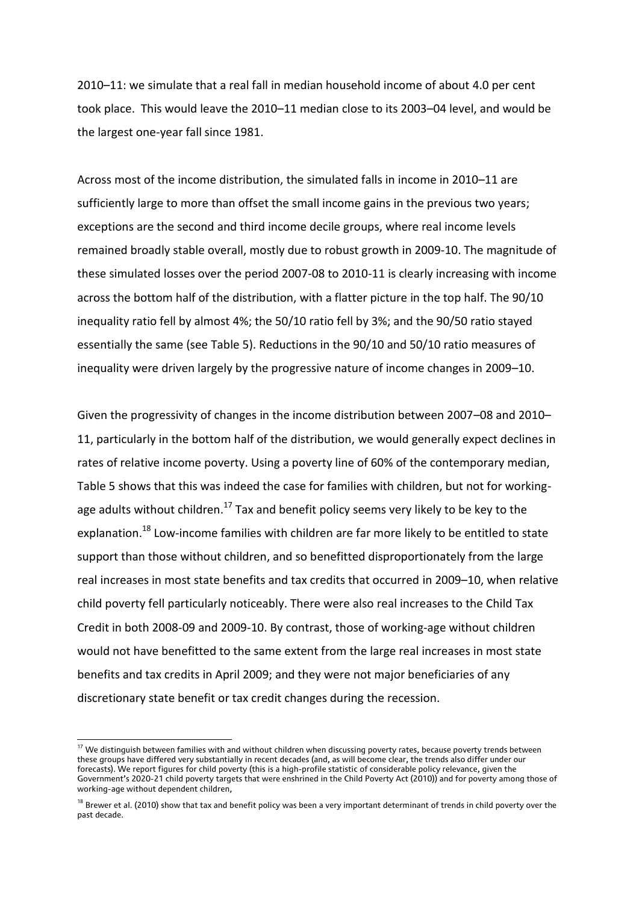2010–11: we simulate that a real fall in median household income of about 4.0 per cent took place. This would leave the 2010–11 median close to its 2003–04 level, and would be the largest one-year fall since 1981.

Across most of the income distribution, the simulated falls in income in 2010–11 are sufficiently large to more than offset the small income gains in the previous two years; exceptions are the second and third income decile groups, where real income levels remained broadly stable overall, mostly due to robust growth in 2009-10. The magnitude of these simulated losses over the period 2007-08 to 2010-11 is clearly increasing with income across the bottom half of the distribution, with a flatter picture in the top half. The 90/10 inequality ratio fell by almost 4%; the 50/10 ratio fell by 3%; and the 90/50 ratio stayed essentially the same (see Table 5). Reductions in the 90/10 and 50/10 ratio measures of inequality were driven largely by the progressive nature of income changes in 2009–10.

Given the progressivity of changes in the income distribution between 2007–08 and 2010– 11, particularly in the bottom half of the distribution, we would generally expect declines in rates of relative income poverty. Using a poverty line of 60% of the contemporary median, Table 5 shows that this was indeed the case for families with children, but not for workingage adults without children.<sup>17</sup> Tax and benefit policy seems very likely to be key to the explanation.<sup>18</sup> Low-income families with children are far more likely to be entitled to state support than those without children, and so benefitted disproportionately from the large real increases in most state benefits and tax credits that occurred in 2009–10, when relative child poverty fell particularly noticeably. There were also real increases to the Child Tax Credit in both 2008-09 and 2009-10. By contrast, those of working-age without children would not have benefitted to the same extent from the large real increases in most state benefits and tax credits in April 2009; and they were not major beneficiaries of any discretionary state benefit or tax credit changes during the recession.

<sup>&</sup>lt;sup>17</sup> We distinguish between families with and without children when discussing poverty rates, because poverty trends between these groups have differed very substantially in recent decades (and, as will become clear, the trends also differ under our forecasts). We report figures for child poverty (this is a high-profile statistic of considerable policy relevance, given the Government's 2020-21 child poverty targets that were enshrined in the Child Poverty Act (2010)) and for poverty among those of working-age without dependent children,

<sup>&</sup>lt;sup>18</sup> Brewer et al. (2010) show that tax and benefit policy was been a very important determinant of trends in child poverty over the past decade.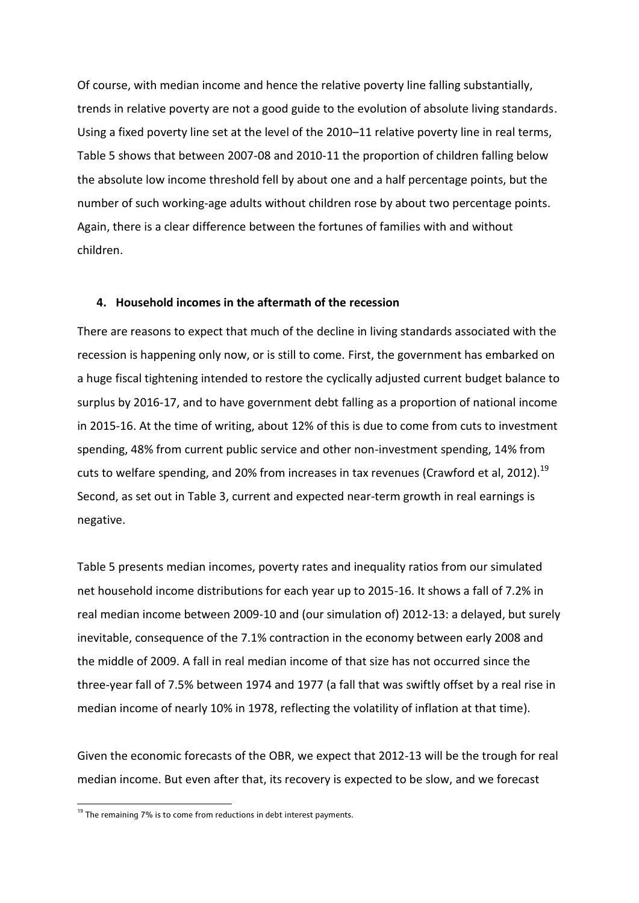Of course, with median income and hence the relative poverty line falling substantially, trends in relative poverty are not a good guide to the evolution of absolute living standards. Using a fixed poverty line set at the level of the 2010–11 relative poverty line in real terms, Table 5 shows that between 2007-08 and 2010-11 the proportion of children falling below the absolute low income threshold fell by about one and a half percentage points, but the number of such working-age adults without children rose by about two percentage points. Again, there is a clear difference between the fortunes of families with and without children.

#### **4. Household incomes in the aftermath of the recession**

There are reasons to expect that much of the decline in living standards associated with the recession is happening only now, or is still to come. First, the government has embarked on a huge fiscal tightening intended to restore the cyclically adjusted current budget balance to surplus by 2016-17, and to have government debt falling as a proportion of national income in 2015-16. At the time of writing, about 12% of this is due to come from cuts to investment spending, 48% from current public service and other non-investment spending, 14% from cuts to welfare spending, and 20% from increases in tax revenues (Crawford et al, 2012).<sup>19</sup> Second, as set out in Table 3, current and expected near-term growth in real earnings is negative.

Table 5 presents median incomes, poverty rates and inequality ratios from our simulated net household income distributions for each year up to 2015-16. It shows a fall of 7.2% in real median income between 2009-10 and (our simulation of) 2012-13: a delayed, but surely inevitable, consequence of the 7.1% contraction in the economy between early 2008 and the middle of 2009. A fall in real median income of that size has not occurred since the three-year fall of 7.5% between 1974 and 1977 (a fall that was swiftly offset by a real rise in median income of nearly 10% in 1978, reflecting the volatility of inflation at that time).

Given the economic forecasts of the OBR, we expect that 2012-13 will be the trough for real median income. But even after that, its recovery is expected to be slow, and we forecast

 $\overline{a}$ 

<sup>&</sup>lt;sup>19</sup> The remaining 7% is to come from reductions in debt interest payments.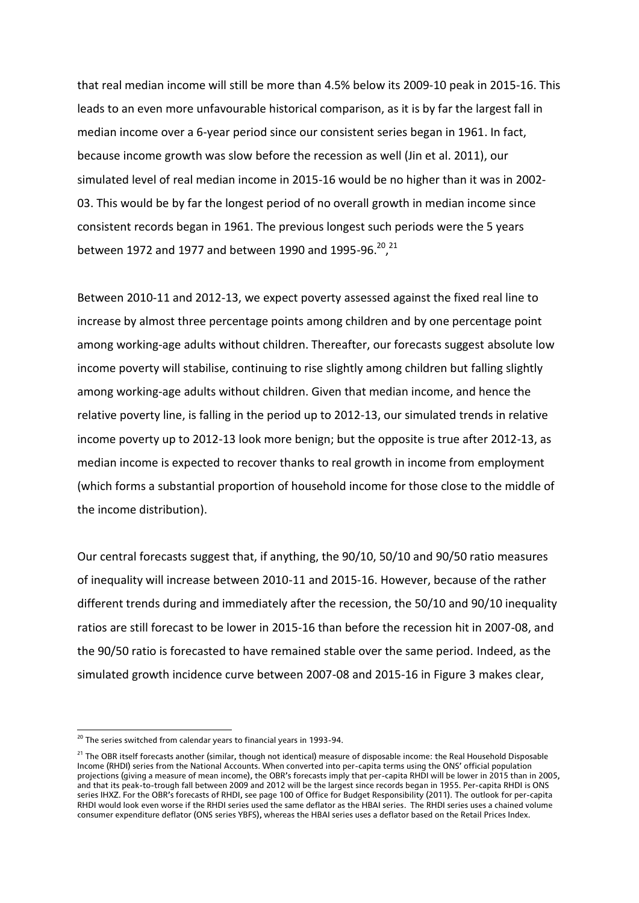that real median income will still be more than 4.5% below its 2009-10 peak in 2015-16. This leads to an even more unfavourable historical comparison, as it is by far the largest fall in median income over a 6-year period since our consistent series began in 1961. In fact, because income growth was slow before the recession as well (Jin et al. 2011), our simulated level of real median income in 2015-16 would be no higher than it was in 2002- 03. This would be by far the longest period of no overall growth in median income since consistent records began in 1961. The previous longest such periods were the 5 years between 1972 and 1977 and between 1990 and 1995-96.<sup>20</sup>,<sup>21</sup>

Between 2010-11 and 2012-13, we expect poverty assessed against the fixed real line to increase by almost three percentage points among children and by one percentage point among working-age adults without children. Thereafter, our forecasts suggest absolute low income poverty will stabilise, continuing to rise slightly among children but falling slightly among working-age adults without children. Given that median income, and hence the relative poverty line, is falling in the period up to 2012-13, our simulated trends in relative income poverty up to 2012-13 look more benign; but the opposite is true after 2012-13, as median income is expected to recover thanks to real growth in income from employment (which forms a substantial proportion of household income for those close to the middle of the income distribution).

Our central forecasts suggest that, if anything, the 90/10, 50/10 and 90/50 ratio measures of inequality will increase between 2010-11 and 2015-16. However, because of the rather different trends during and immediately after the recession, the 50/10 and 90/10 inequality ratios are still forecast to be lower in 2015-16 than before the recession hit in 2007-08, and the 90/50 ratio is forecasted to have remained stable over the same period. Indeed, as the simulated growth incidence curve between 2007-08 and 2015-16 in Figure 3 makes clear,

**<sup>.</sup>** <sup>20</sup> The series switched from calendar years to financial years in 1993-94.

<sup>&</sup>lt;sup>21</sup> The OBR itself forecasts another (similar, though not identical) measure of disposable income: the Real Household Disposable Income (RHDI) series from the National Accounts. When converted into per-capita terms using the ONS' official population projections (giving a measure of mean income), the OBR's forecasts imply that per-capita RHDI will be lower in 2015 than in 2005, and that its peak-to-trough fall between 2009 and 2012 will be the largest since records began in 1955. Per-capita RHDI is ONS series IHXZ. For the OBR's forecasts of RHDI, see page 100 of Office for Budget Responsibility (2011). The outlook for per-capita RHDI would look even worse if the RHDI series used the same deflator as the HBAI series. The RHDI series uses a chained volume consumer expenditure deflator (ONS series YBFS), whereas the HBAI series uses a deflator based on the Retail Prices Index.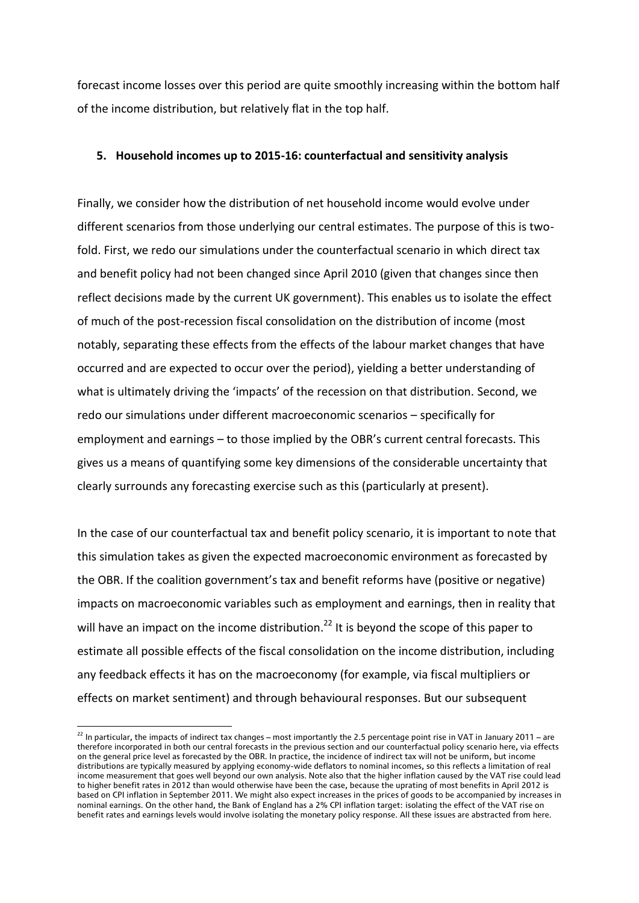forecast income losses over this period are quite smoothly increasing within the bottom half of the income distribution, but relatively flat in the top half.

#### **5. Household incomes up to 2015-16: counterfactual and sensitivity analysis**

Finally, we consider how the distribution of net household income would evolve under different scenarios from those underlying our central estimates. The purpose of this is twofold. First, we redo our simulations under the counterfactual scenario in which direct tax and benefit policy had not been changed since April 2010 (given that changes since then reflect decisions made by the current UK government). This enables us to isolate the effect of much of the post-recession fiscal consolidation on the distribution of income (most notably, separating these effects from the effects of the labour market changes that have occurred and are expected to occur over the period), yielding a better understanding of what is ultimately driving the 'impacts' of the recession on that distribution. Second, we redo our simulations under different macroeconomic scenarios – specifically for employment and earnings – to those implied by the OBR's current central forecasts. This gives us a means of quantifying some key dimensions of the considerable uncertainty that clearly surrounds any forecasting exercise such as this (particularly at present).

In the case of our counterfactual tax and benefit policy scenario, it is important to note that this simulation takes as given the expected macroeconomic environment as forecasted by the OBR. If the coalition government's tax and benefit reforms have (positive or negative) impacts on macroeconomic variables such as employment and earnings, then in reality that will have an impact on the income distribution.<sup>22</sup> It is beyond the scope of this paper to estimate all possible effects of the fiscal consolidation on the income distribution, including any feedback effects it has on the macroeconomy (for example, via fiscal multipliers or effects on market sentiment) and through behavioural responses. But our subsequent

 $^{22}$  In particular, the impacts of indirect tax changes – most importantly the 2.5 percentage point rise in VAT in January 2011 – are therefore incorporated in both our central forecasts in the previous section and our counterfactual policy scenario here, via effects on the general price level as forecasted by the OBR. In practice, the incidence of indirect tax will not be uniform, but income distributions are typically measured by applying economy-wide deflators to nominal incomes, so this reflects a limitation of real income measurement that goes well beyond our own analysis. Note also that the higher inflation caused by the VAT rise could lead to higher benefit rates in 2012 than would otherwise have been the case, because the uprating of most benefits in April 2012 is based on CPI inflation in September 2011. We might also expect increases in the prices of goods to be accompanied by increases in nominal earnings. On the other hand, the Bank of England has a 2% CPI inflation target: isolating the effect of the VAT rise on benefit rates and earnings levels would involve isolating the monetary policy response. All these issues are abstracted from here.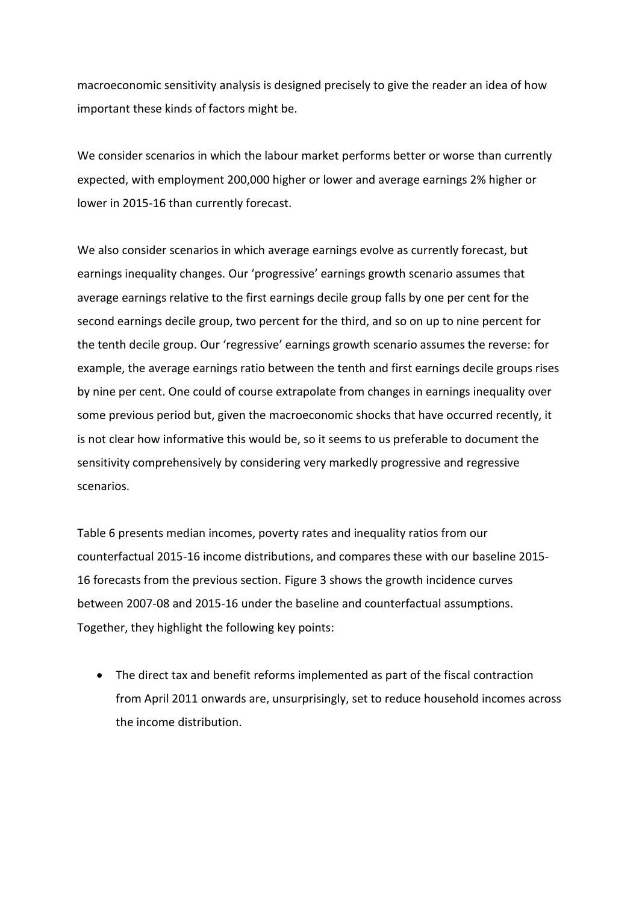macroeconomic sensitivity analysis is designed precisely to give the reader an idea of how important these kinds of factors might be.

We consider scenarios in which the labour market performs better or worse than currently expected, with employment 200,000 higher or lower and average earnings 2% higher or lower in 2015-16 than currently forecast.

We also consider scenarios in which average earnings evolve as currently forecast, but earnings inequality changes. Our 'progressive' earnings growth scenario assumes that average earnings relative to the first earnings decile group falls by one per cent for the second earnings decile group, two percent for the third, and so on up to nine percent for the tenth decile group. Our 'regressive' earnings growth scenario assumes the reverse: for example, the average earnings ratio between the tenth and first earnings decile groups rises by nine per cent. One could of course extrapolate from changes in earnings inequality over some previous period but, given the macroeconomic shocks that have occurred recently, it is not clear how informative this would be, so it seems to us preferable to document the sensitivity comprehensively by considering very markedly progressive and regressive scenarios.

Table 6 presents median incomes, poverty rates and inequality ratios from our counterfactual 2015-16 income distributions, and compares these with our baseline 2015- 16 forecasts from the previous section. Figure 3 shows the growth incidence curves between 2007-08 and 2015-16 under the baseline and counterfactual assumptions. Together, they highlight the following key points:

 The direct tax and benefit reforms implemented as part of the fiscal contraction from April 2011 onwards are, unsurprisingly, set to reduce household incomes across the income distribution.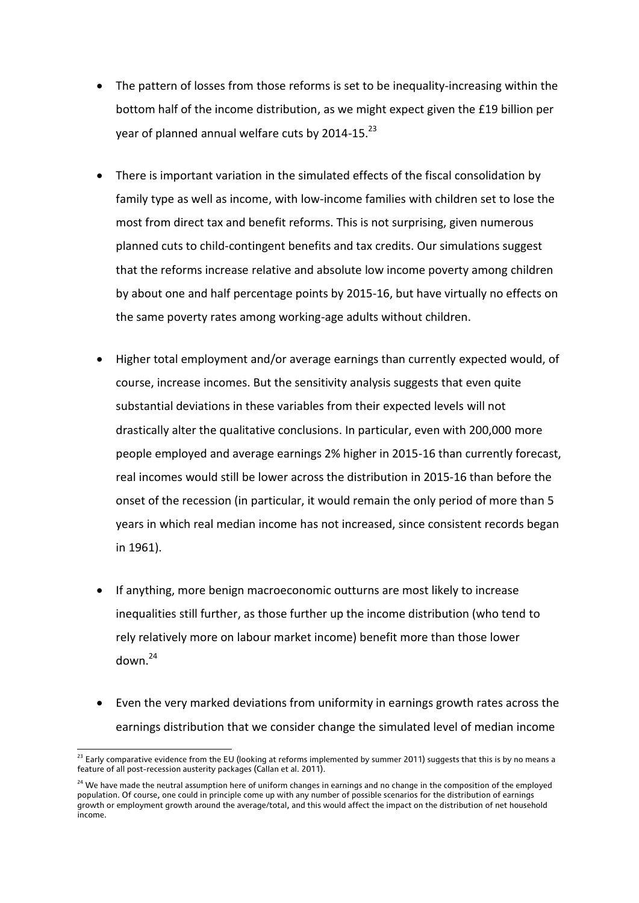- The pattern of losses from those reforms is set to be inequality-increasing within the bottom half of the income distribution, as we might expect given the £19 billion per year of planned annual welfare cuts by 2014-15.<sup>23</sup>
- There is important variation in the simulated effects of the fiscal consolidation by family type as well as income, with low-income families with children set to lose the most from direct tax and benefit reforms. This is not surprising, given numerous planned cuts to child-contingent benefits and tax credits. Our simulations suggest that the reforms increase relative and absolute low income poverty among children by about one and half percentage points by 2015-16, but have virtually no effects on the same poverty rates among working-age adults without children.
- Higher total employment and/or average earnings than currently expected would, of course, increase incomes. But the sensitivity analysis suggests that even quite substantial deviations in these variables from their expected levels will not drastically alter the qualitative conclusions. In particular, even with 200,000 more people employed and average earnings 2% higher in 2015-16 than currently forecast, real incomes would still be lower across the distribution in 2015-16 than before the onset of the recession (in particular, it would remain the only period of more than 5 years in which real median income has not increased, since consistent records began in 1961).
- If anything, more benign macroeconomic outturns are most likely to increase inequalities still further, as those further up the income distribution (who tend to rely relatively more on labour market income) benefit more than those lower down. 24
- Even the very marked deviations from uniformity in earnings growth rates across the earnings distribution that we consider change the simulated level of median income

 $^{23}$  Early comparative evidence from the EU (looking at reforms implemented by summer 2011) suggests that this is by no means a feature of all post-recession austerity packages (Callan et al. 2011).

<sup>&</sup>lt;sup>24</sup> We have made the neutral assumption here of uniform changes in earnings and no change in the composition of the employed population. Of course, one could in principle come up with any number of possible scenarios for the distribution of earnings growth or employment growth around the average/total, and this would affect the impact on the distribution of net household income.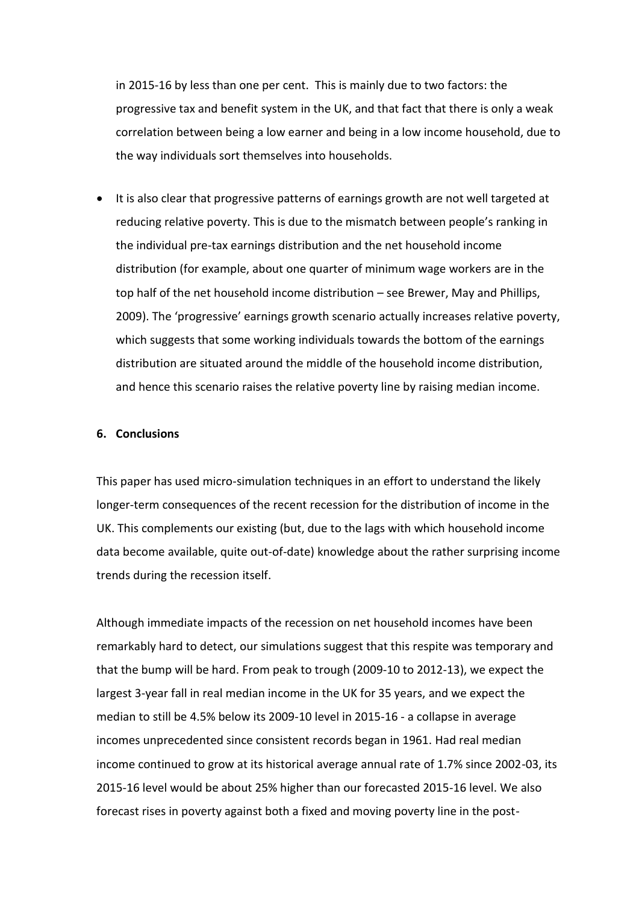in 2015-16 by less than one per cent. This is mainly due to two factors: the progressive tax and benefit system in the UK, and that fact that there is only a weak correlation between being a low earner and being in a low income household, due to the way individuals sort themselves into households.

• It is also clear that progressive patterns of earnings growth are not well targeted at reducing relative poverty. This is due to the mismatch between people's ranking in the individual pre-tax earnings distribution and the net household income distribution (for example, about one quarter of minimum wage workers are in the top half of the net household income distribution – see Brewer, May and Phillips, 2009). The 'progressive' earnings growth scenario actually increases relative poverty, which suggests that some working individuals towards the bottom of the earnings distribution are situated around the middle of the household income distribution, and hence this scenario raises the relative poverty line by raising median income.

#### **6. Conclusions**

This paper has used micro-simulation techniques in an effort to understand the likely longer-term consequences of the recent recession for the distribution of income in the UK. This complements our existing (but, due to the lags with which household income data become available, quite out-of-date) knowledge about the rather surprising income trends during the recession itself.

Although immediate impacts of the recession on net household incomes have been remarkably hard to detect, our simulations suggest that this respite was temporary and that the bump will be hard. From peak to trough (2009-10 to 2012-13), we expect the largest 3-year fall in real median income in the UK for 35 years, and we expect the median to still be 4.5% below its 2009-10 level in 2015-16 - a collapse in average incomes unprecedented since consistent records began in 1961. Had real median income continued to grow at its historical average annual rate of 1.7% since 2002-03, its 2015-16 level would be about 25% higher than our forecasted 2015-16 level. We also forecast rises in poverty against both a fixed and moving poverty line in the post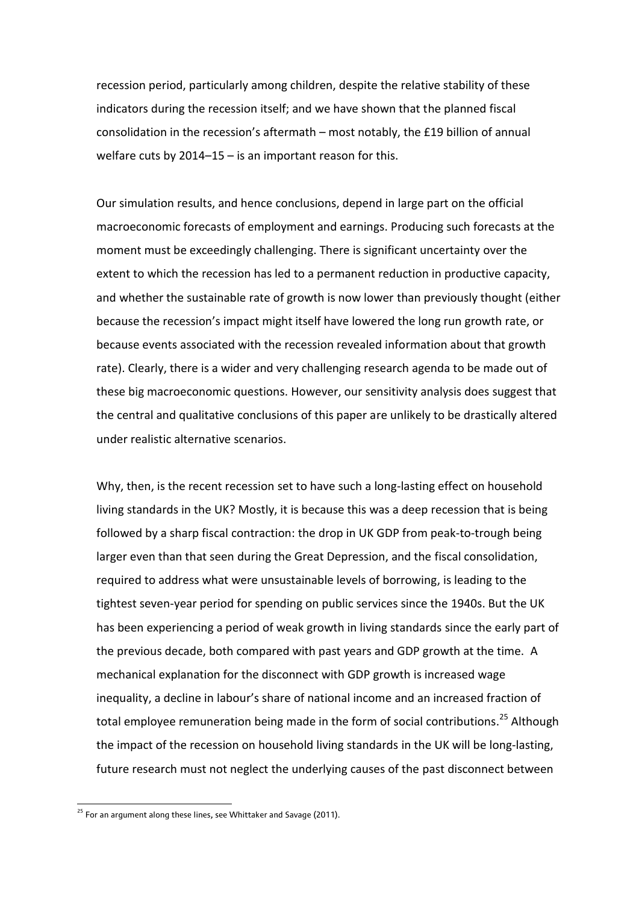recession period, particularly among children, despite the relative stability of these indicators during the recession itself; and we have shown that the planned fiscal consolidation in the recession's aftermath – most notably, the £19 billion of annual welfare cuts by 2014–15 – is an important reason for this.

Our simulation results, and hence conclusions, depend in large part on the official macroeconomic forecasts of employment and earnings. Producing such forecasts at the moment must be exceedingly challenging. There is significant uncertainty over the extent to which the recession has led to a permanent reduction in productive capacity, and whether the sustainable rate of growth is now lower than previously thought (either because the recession's impact might itself have lowered the long run growth rate, or because events associated with the recession revealed information about that growth rate). Clearly, there is a wider and very challenging research agenda to be made out of these big macroeconomic questions. However, our sensitivity analysis does suggest that the central and qualitative conclusions of this paper are unlikely to be drastically altered under realistic alternative scenarios.

Why, then, is the recent recession set to have such a long-lasting effect on household living standards in the UK? Mostly, it is because this was a deep recession that is being followed by a sharp fiscal contraction: the drop in UK GDP from peak-to-trough being larger even than that seen during the Great Depression, and the fiscal consolidation, required to address what were unsustainable levels of borrowing, is leading to the tightest seven-year period for spending on public services since the 1940s. But the UK has been experiencing a period of weak growth in living standards since the early part of the previous decade, both compared with past years and GDP growth at the time. A mechanical explanation for the disconnect with GDP growth is increased wage inequality, a decline in labour's share of national income and an increased fraction of total employee remuneration being made in the form of social contributions.<sup>25</sup> Although the impact of the recession on household living standards in the UK will be long-lasting, future research must not neglect the underlying causes of the past disconnect between

 $\overline{a}$ 

<sup>&</sup>lt;sup>25</sup> For an argument along these lines, see Whittaker and Savage (2011).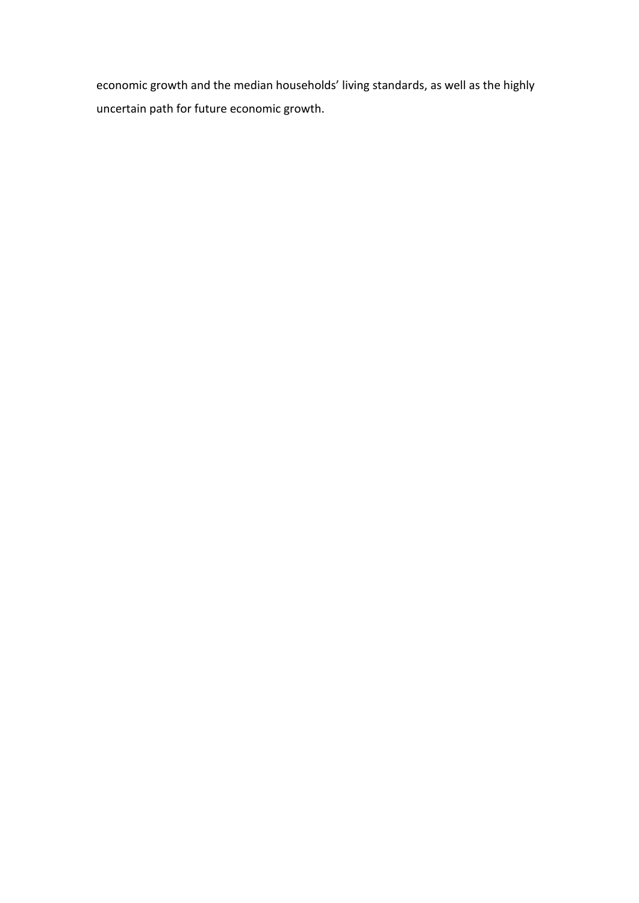economic growth and the median households' living standards, as well as the highly uncertain path for future economic growth.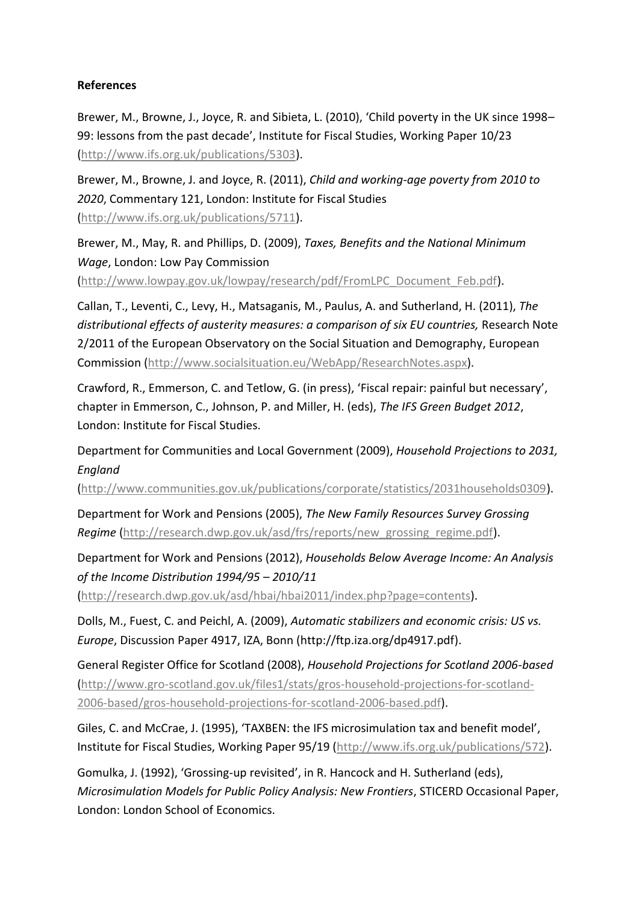## **References**

Brewer, M., Browne, J., Joyce, R. and Sibieta, L. (2010), 'Child poverty in the UK since 1998– 99: lessons from the past decade', Institute for Fiscal Studies, Working Paper 10/23 [\(http://www.ifs.org.uk/publications/5303\)](http://www.ifs.org.uk/publications/5303).

Brewer, M., Browne, J. and Joyce, R. (2011), *Child and working-age poverty from 2010 to 2020*, Commentary 121, London: Institute for Fiscal Studies [\(http://www.ifs.org.uk/publications/5711\)](http://www.ifs.org.uk/publications/5711).

Brewer, M., May, R. and Phillips, D. (2009), *Taxes, Benefits and the National Minimum Wage*, London: Low Pay Commission [\(http://www.lowpay.gov.uk/lowpay/research/pdf/FromLPC\\_Document\\_Feb.pdf\)](http://www.lowpay.gov.uk/lowpay/research/pdf/FromLPC_Document_Feb.pdf).

Callan, T., Leventi, C., Levy, H., Matsaganis, M., Paulus, A. and Sutherland, H. (2011), *The distributional effects of austerity measures: a comparison of six EU countries,* Research Note 2/2011 of the European Observatory on the Social Situation and Demography, European Commission [\(http://www.socialsituation.eu/WebApp/ResearchNotes.aspx\)](http://www.socialsituation.eu/WebApp/ResearchNotes.aspx).

Crawford, R., Emmerson, C. and Tetlow, G. (in press), 'Fiscal repair: painful but necessary', chapter in Emmerson, C., Johnson, P. and Miller, H. (eds), *The IFS Green Budget 2012*, London: Institute for Fiscal Studies.

Department for Communities and Local Government (2009), *Household Projections to 2031, England* 

[\(http://www.communities.gov.uk/publications/corporate/statistics/2031households0309\)](http://www.communities.gov.uk/publications/corporate/statistics/2031households0309).

Department for Work and Pensions (2005), *The New Family Resources Survey Grossing Regime* [\(http://research.dwp.gov.uk/asd/frs/reports/new\\_grossing\\_regime.pdf\)](http://research.dwp.gov.uk/asd/frs/reports/new_grossing_regime.pdf).

Department for Work and Pensions (2012), *Households Below Average Income: An Analysis of the Income Distribution 1994/95 – 2010/11*

[\(http://research.dwp.gov.uk/asd/hbai/hbai2011/index.php?page=contents\)](http://research.dwp.gov.uk/asd/hbai/hbai2011/index.php?page=contents).

Dolls, M., Fuest, C. and Peichl, A. (2009), *Automatic stabilizers and economic crisis: US vs. Europe*, Discussion Paper 4917, IZA, Bonn [\(http://ftp.iza.org/dp4917.pdf\)](http://ftp.iza.org/dp4917.pdf).

General Register Office for Scotland (2008), *Household Projections for Scotland 2006-based*  [\(http://www.gro-scotland.gov.uk/files1/stats/gros-household-projections-for-scotland-](http://www.gro-scotland.gov.uk/files1/stats/gros-household-projections-for-scotland-2006-based/gros-household-projections-for-scotland-2006-based.pdf)[2006-based/gros-household-projections-for-scotland-2006-based.pdf\)](http://www.gro-scotland.gov.uk/files1/stats/gros-household-projections-for-scotland-2006-based/gros-household-projections-for-scotland-2006-based.pdf).

Giles, C. and McCrae, J. (1995), 'TAXBEN: the IFS microsimulation tax and benefit model', Institute for Fiscal Studies, Working Paper 95/19 (http://www.ifs.org.uk/publications/572).

Gomulka, J. (1992), 'Grossing-up revisited', in R. Hancock and H. Sutherland (eds), *Microsimulation Models for Public Policy Analysis: New Frontiers*, STICERD Occasional Paper, London: London School of Economics.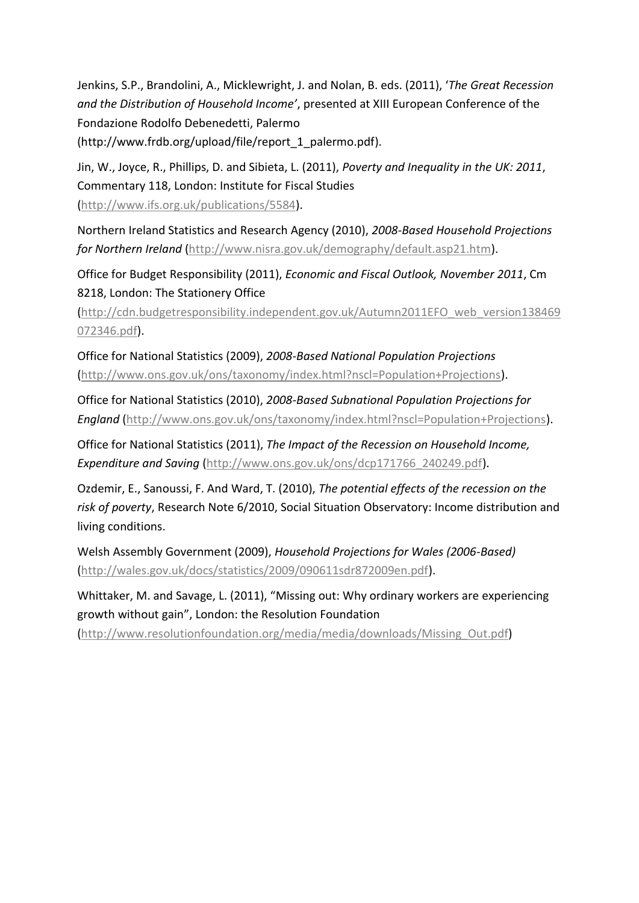Jenkins, S.P., Brandolini, A., Micklewright, J. and Nolan, B. eds. (2011), '*The Great Recession and the Distribution of Household Income'*, presented at XIII European Conference of the Fondazione Rodolfo Debenedetti, Palermo (http://www.frdb.org/upload/file/report\_1\_palermo.pdf).

Jin, W., Joyce, R., Phillips, D. and Sibieta, L. (2011), *Poverty and Inequality in the UK: 2011*, Commentary 118, London: Institute for Fiscal Studies (http://www.ifs.org.uk/publications/5584).

Northern Ireland Statistics and Research Agency (2010), *2008-Based Household Projections for Northern Ireland* [\(http://www.nisra.gov.uk/demography/default.asp21.htm\)](http://www.nisra.gov.uk/demography/default.asp21.htm).

Office for Budget Responsibility (2011), *Economic and Fiscal Outlook, November 2011*, Cm 8218, London: The Stationery Office

[\(http://cdn.budgetresponsibility.independent.gov.uk/Autumn2011EFO\\_web\\_version138469](http://cdn.budgetresponsibility.independent.gov.uk/Autumn2011EFO_web_version138469072346.pdf) [072346.pdf\)](http://cdn.budgetresponsibility.independent.gov.uk/Autumn2011EFO_web_version138469072346.pdf).

Office for National Statistics (2009), *2008-Based National Population Projections* [\(http://www.ons.gov.uk/ons/taxonomy/index.html?nscl=Population+Projections\)](http://www.ons.gov.uk/ons/taxonomy/index.html?nscl=Population+Projections).

Office for National Statistics (2010), *2008-Based Subnational Population Projections for England* [\(http://www.ons.gov.uk/ons/taxonomy/index.html?nscl=Population+Projections\)](http://www.ons.gov.uk/ons/taxonomy/index.html?nscl=Population+Projections).

Office for National Statistics (2011), *The Impact of the Recession on Household Income, Expenditure and Saving* [\(http://www.ons.gov.uk/ons/dcp171766\\_240249.pdf\)](http://www.ons.gov.uk/ons/dcp171766_240249.pdf).

Ozdemir, E., Sanoussi, F. And Ward, T. (2010), *The potential effects of the recession on the risk of poverty*, Research Note 6/2010, Social Situation Observatory: Income distribution and living conditions.

Welsh Assembly Government (2009), *Household Projections for Wales (2006-Based)*  [\(http://wales.gov.uk/docs/statistics/2009/090611sdr872009en.pdf\)](http://wales.gov.uk/docs/statistics/2009/090611sdr872009en.pdf).

Whittaker, M. and Savage, L. (2011), "Missing out: Why ordinary workers are experiencing growth without gain", London: the Resolution Foundation

[\(http://www.resolutionfoundation.org/media/media/downloads/Missing\\_Out.pdf\)](http://www.resolutionfoundation.org/media/media/downloads/Missing_Out.pdf)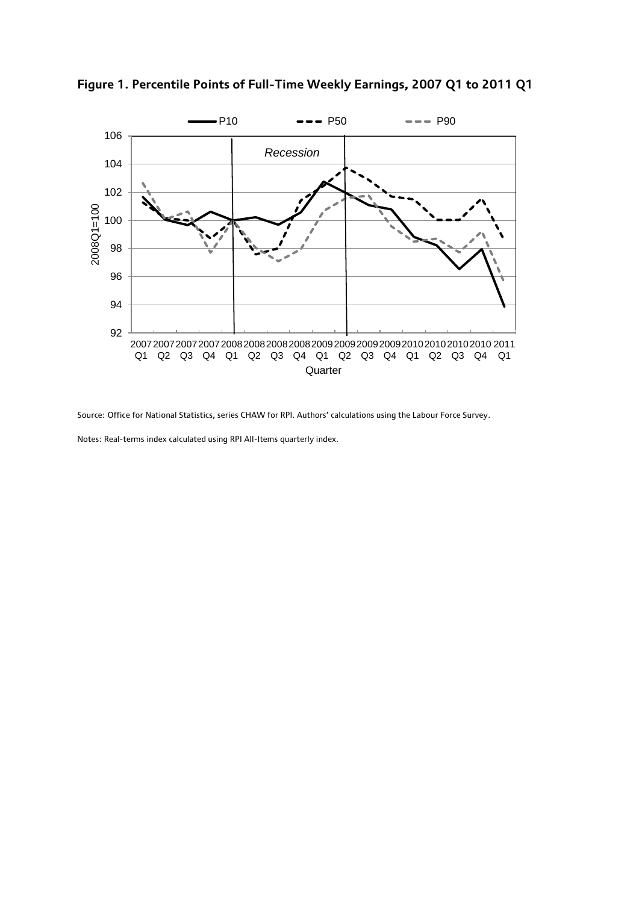

**Figure 1. Percentile Points of Full-Time Weekly Earnings, 2007 Q1 to 2011 Q1**

Source: Office for National Statistics, series CHAW for RPI. Authors' calculations using the Labour Force Survey.

Notes: Real-terms index calculated using RPI All-Items quarterly index.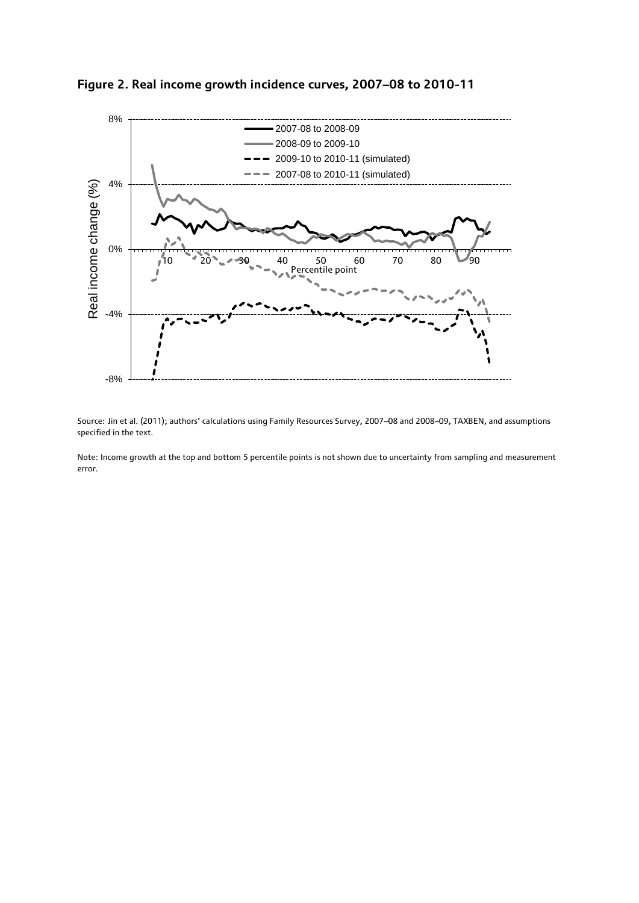



Source: Jin et al. (2011); authors' calculations using Family Resources Survey, 2007–08 and 2008–09, TAXBEN, and assumptions specified in the text.

Note: Income growth at the top and bottom 5 percentile points is not shown due to uncertainty from sampling and measurement error.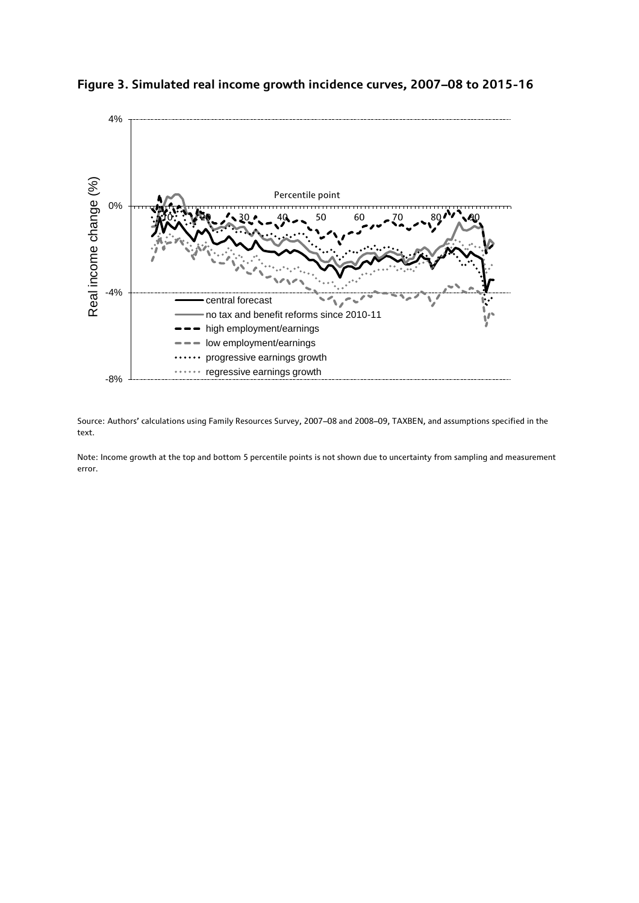



Source: Authors' calculations using Family Resources Survey, 2007–08 and 2008–09, TAXBEN, and assumptions specified in the text.

Note: Income growth at the top and bottom 5 percentile points is not shown due to uncertainty from sampling and measurement error.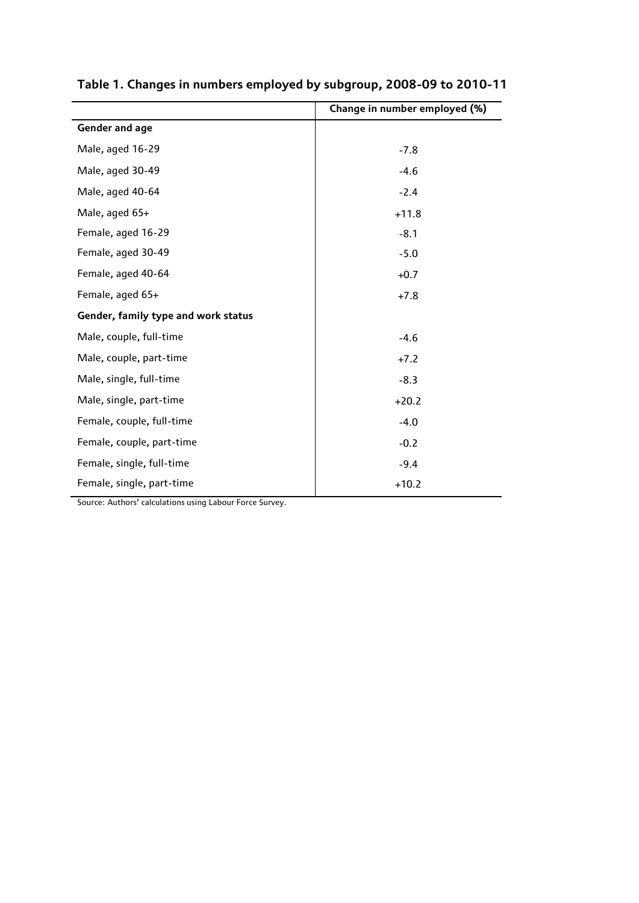|                                     | Change in number employed (%) |
|-------------------------------------|-------------------------------|
| <b>Gender and age</b>               |                               |
| Male, aged 16-29                    | $-7.8$                        |
| Male, aged 30-49                    | $-4.6$                        |
| Male, aged 40-64                    | $-2.4$                        |
| Male, aged 65+                      | $+11.8$                       |
| Female, aged 16-29                  | $-8.1$                        |
| Female, aged 30-49                  | $-5.0$                        |
| Female, aged 40-64                  | $+0.7$                        |
| Female, aged 65+                    | $+7.8$                        |
| Gender, family type and work status |                               |
| Male, couple, full-time             | $-4.6$                        |
| Male, couple, part-time             | $+7.2$                        |
| Male, single, full-time             | $-8.3$                        |
| Male, single, part-time             | $+20.2$                       |
| Female, couple, full-time           | $-4.0$                        |
| Female, couple, part-time           | $-0.2$                        |
| Female, single, full-time           | $-9.4$                        |
| Female, single, part-time           | $+10.2$                       |

## **Table 1. Changes in numbers employed by subgroup, 2008-09 to 2010-11**

Source: Authors' calculations using Labour Force Survey.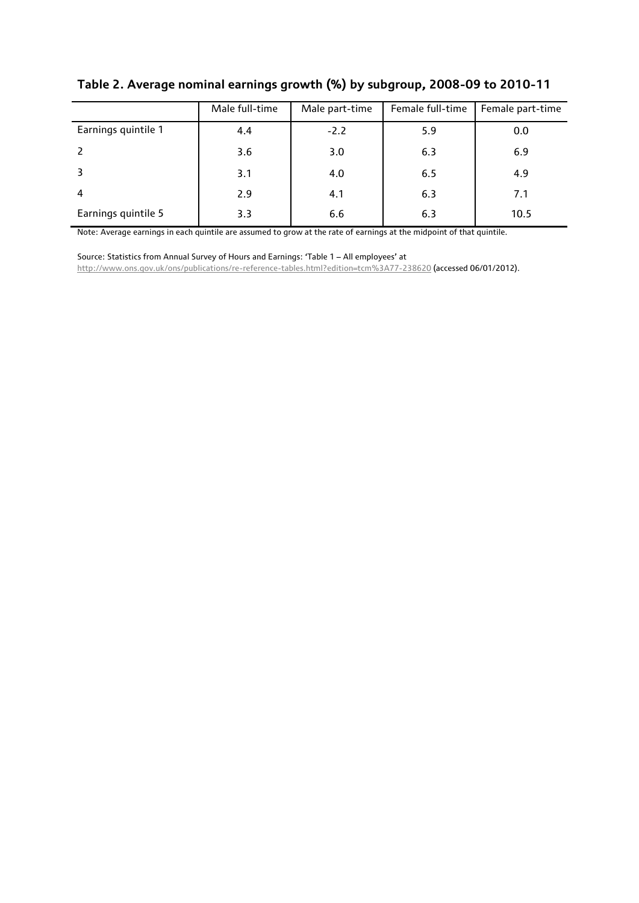|                     | Male full-time | Male part-time | Female full-time | Female part-time |
|---------------------|----------------|----------------|------------------|------------------|
| Earnings quintile 1 | 4.4            | $-2.2$         | 5.9              | 0.0              |
|                     | 3.6            | 3.0            | 6.3              | 6.9              |
|                     | 3.1            | 4.0            | 6.5              | 4.9              |
| 4                   | 2.9            | 4.1            | 6.3              | 7.1              |
| Earnings quintile 5 | 3.3            | 6.6            | 6.3              | 10.5             |

**Table 2. Average nominal earnings growth (%) by subgroup, 2008-09 to 2010-11**

Note: Average earnings in each quintile are assumed to grow at the rate of earnings at the midpoint of that quintile.

Source: Statistics from Annual Survey of Hours and Earnings: 'Table 1 – All employees' at <http://www.ons.gov.uk/ons/publications/re-reference-tables.html?edition=tcm%3A77-238620> (accessed 06/01/2012).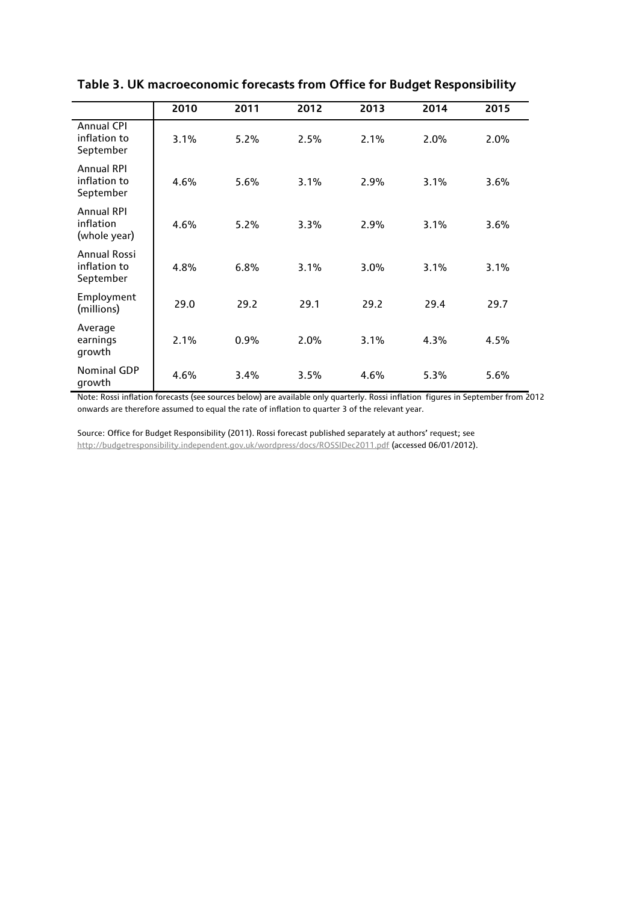|                                                  | 2010 | 2011 | 2012 | 2013 | 2014 | 2015 |
|--------------------------------------------------|------|------|------|------|------|------|
| <b>Annual CPI</b><br>inflation to<br>September   | 3.1% | 5.2% | 2.5% | 2.1% | 2.0% | 2.0% |
| <b>Annual RPI</b><br>inflation to<br>September   | 4.6% | 5.6% | 3.1% | 2.9% | 3.1% | 3.6% |
| <b>Annual RPI</b><br>inflation<br>(whole year)   | 4.6% | 5.2% | 3.3% | 2.9% | 3.1% | 3.6% |
| <b>Annual Rossi</b><br>inflation to<br>September | 4.8% | 6.8% | 3.1% | 3.0% | 3.1% | 3.1% |
| Employment<br>(millions)                         | 29.0 | 29.2 | 29.1 | 29.2 | 29.4 | 29.7 |
| Average<br>earnings<br>growth                    | 2.1% | 0.9% | 2.0% | 3.1% | 4.3% | 4.5% |
| <b>Nominal GDP</b><br>growth                     | 4.6% | 3.4% | 3.5% | 4.6% | 5.3% | 5.6% |

**Table 3. UK macroeconomic forecasts from Office for Budget Responsibility**

Note: Rossi inflation forecasts (see sources below) are available only quarterly. Rossi inflation figures in September from 2012 onwards are therefore assumed to equal the rate of inflation to quarter 3 of the relevant year.

Source: Office for Budget Responsibility (2011). Rossi forecast published separately at authors' request; see <http://budgetresponsibility.independent.gov.uk/wordpress/docs/ROSSIDec2011.pdf> (accessed 06/01/2012).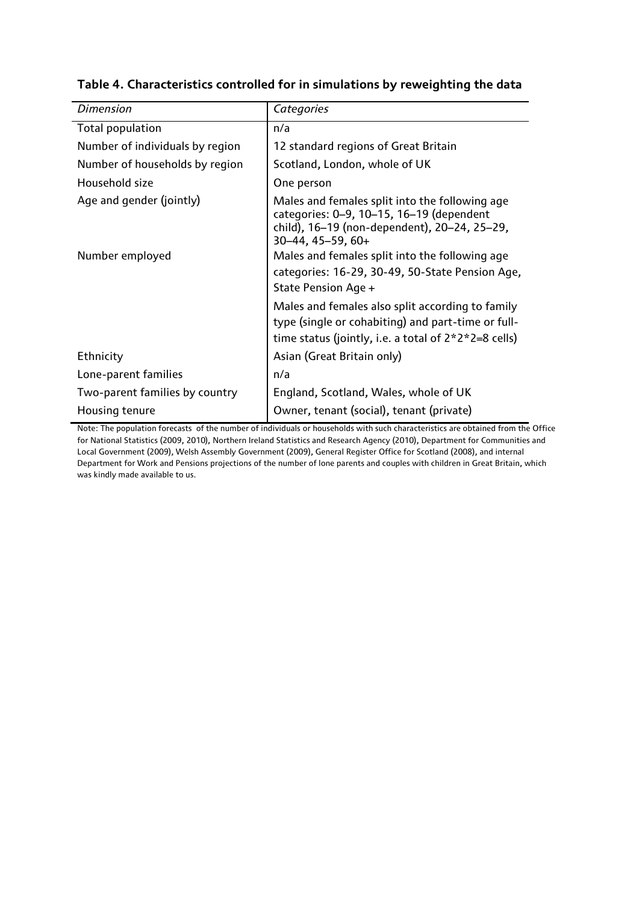| <b>Dimension</b>                | Categories                                                                                                                                                        |
|---------------------------------|-------------------------------------------------------------------------------------------------------------------------------------------------------------------|
| <b>Total population</b>         | n/a                                                                                                                                                               |
| Number of individuals by region | 12 standard regions of Great Britain                                                                                                                              |
| Number of households by region  | Scotland, London, whole of UK                                                                                                                                     |
| Household size                  | One person                                                                                                                                                        |
| Age and gender (jointly)        | Males and females split into the following age<br>categories: 0-9, 10-15, 16-19 (dependent<br>child), 16-19 (non-dependent), 20-24, 25-29,<br>$30-44, 45-59, 60+$ |
| Number employed                 | Males and females split into the following age<br>categories: 16-29, 30-49, 50-State Pension Age,<br>State Pension Age +                                          |
|                                 | Males and females also split according to family<br>type (single or cohabiting) and part-time or full-<br>time status (jointly, i.e. a total of $2*2*2=8$ cells)  |
| Ethnicity                       | Asian (Great Britain only)                                                                                                                                        |
| Lone-parent families            | n/a                                                                                                                                                               |
| Two-parent families by country  | England, Scotland, Wales, whole of UK                                                                                                                             |
| Housing tenure                  | Owner, tenant (social), tenant (private)                                                                                                                          |

## **Table 4. Characteristics controlled for in simulations by reweighting the data**

Note: The population forecasts of the number of individuals or households with such characteristics are obtained from the Office for National Statistics (2009, 2010), Northern Ireland Statistics and Research Agency (2010), Department for Communities and Local Government (2009), Welsh Assembly Government (2009), General Register Office for Scotland (2008), and internal Department for Work and Pensions projections of the number of lone parents and couples with children in Great Britain, which was kindly made available to us.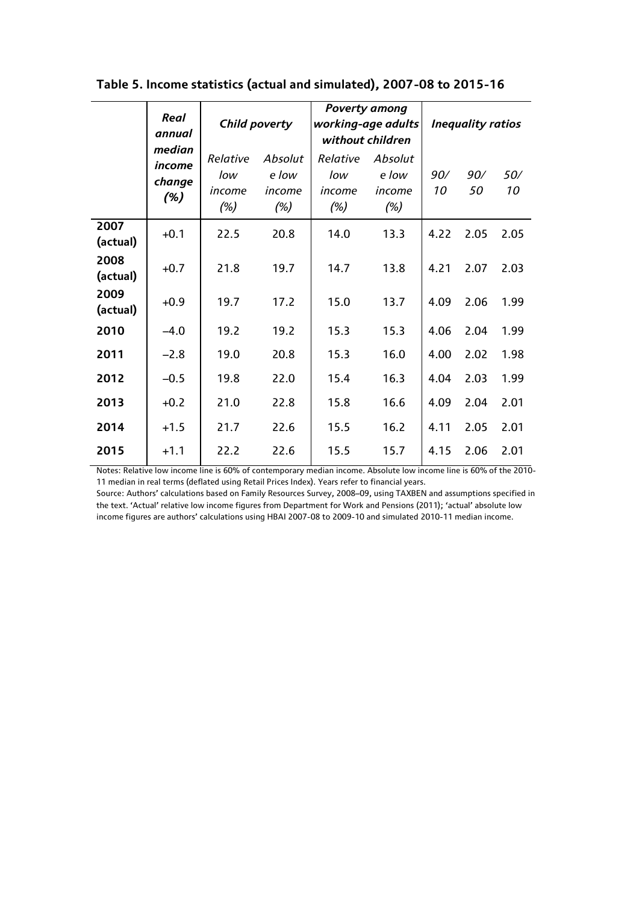|                                   | <b>Real</b><br>annual            | Child poverty                     |                                  | <b>Poverty among</b><br>working-age adults<br>without children | <b>Inequality ratios</b> |           |           |      |
|-----------------------------------|----------------------------------|-----------------------------------|----------------------------------|----------------------------------------------------------------|--------------------------|-----------|-----------|------|
| median<br>income<br>change<br>(%) | Relative<br>low<br>income<br>(%) | Absolut<br>e low<br>income<br>(%) | Relative<br>low<br>income<br>(%) | Absolut<br>e low<br>income<br>(%)                              | 90/<br>10                | 90/<br>50 | 50/<br>10 |      |
| 2007<br>(actual)                  | $+0.1$                           | 22.5                              | 20.8                             | 14.0                                                           | 13.3                     | 4.22      | 2.05      | 2.05 |
| 2008<br>(actual)                  | $+0.7$                           | 21.8                              | 19.7                             | 14.7                                                           | 13.8                     | 4.21      | 2.07      | 2.03 |
| 2009<br>(actual)                  | $+0.9$                           | 19.7                              | 17.2                             | 15.0                                                           | 13.7                     | 4.09      | 2.06      | 1.99 |
| 2010                              | $-4.0$                           | 19.2                              | 19.2                             | 15.3                                                           | 15.3                     | 4.06      | 2.04      | 1.99 |
| 2011                              | $-2.8$                           | 19.0                              | 20.8                             | 15.3                                                           | 16.0                     | 4.00      | 2.02      | 1.98 |
| 2012                              | $-0.5$                           | 19.8                              | 22.0                             | 15.4                                                           | 16.3                     | 4.04      | 2.03      | 1.99 |
| 2013                              | $+0.2$                           | 21.0                              | 22.8                             | 15.8                                                           | 16.6                     | 4.09      | 2.04      | 2.01 |
| 2014                              | $+1.5$                           | 21.7                              | 22.6                             | 15.5                                                           | 16.2                     | 4.11      | 2.05      | 2.01 |
| 2015                              | $+1.1$                           | 22.2                              | 22.6                             | 15.5                                                           | 15.7                     | 4.15      | 2.06      | 2.01 |

**Table 5. Income statistics (actual and simulated), 2007-08 to 2015-16**

Notes: Relative low income line is 60% of contemporary median income. Absolute low income line is 60% of the 2010- 11 median in real terms (deflated using Retail Prices Index). Years refer to financial years.

Source: Authors' calculations based on Family Resources Survey, 2008–09, using TAXBEN and assumptions specified in the text. 'Actual' relative low income figures from Department for Work and Pensions (2011); 'actual' absolute low income figures are authors' calculations using HBAI 2007-08 to 2009-10 and simulated 2010-11 median income.